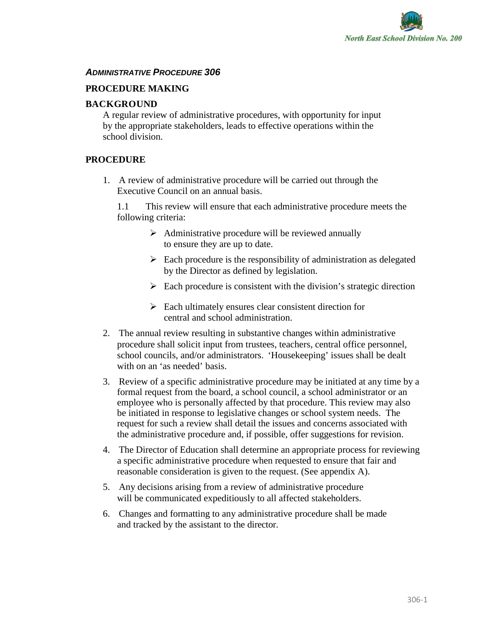

# *ADMINISTRATIVE PROCEDURE 306*

# **PROCEDURE MAKING**2**1 – RISTRATIVE POLICYS**

# **BACKGROUND**

A regular review of administrative procedures, with opportunity for input by the appropriate stakeholders, leads to effective operations within the school division.

# **PROCEDURE**

1. A review of administrative procedure will be carried out through the Executive Council on an annual basis.

1.1 This review will ensure that each administrative procedure meets the following criteria:

- $\triangleright$  Administrative procedure will be reviewed annually to ensure they are up to date.
- $\triangleright$  Each procedure is the responsibility of administration as delegated by the Director as defined by legislation.
- $\triangleright$  Each procedure is consistent with the division's strategic direction
- $\triangleright$  Each ultimately ensures clear consistent direction for central and school administration.
- 2. The annual review resulting in substantive changes within administrative procedure shall solicit input from trustees, teachers, central office personnel, school councils, and/or administrators. 'Housekeeping' issues shall be dealt with on an 'as needed' basis.
- 3. Review of a specific administrative procedure may be initiated at any time by a formal request from the board, a school council, a school administrator or an employee who is personally affected by that procedure. This review may also be initiated in response to legislative changes or school system needs. The request for such a review shall detail the issues and concerns associated with the administrative procedure and, if possible, offer suggestions for revision.
- 4. The Director of Education shall determine an appropriate process for reviewing a specific administrative procedure when requested to ensure that fair and reasonable consideration is given to the request. (See appendix A).
- 5. Any decisions arising from a review of administrative procedure will be communicated expeditiously to all affected stakeholders.
- 6. Changes and formatting to any administrative procedure shall be made and tracked by the assistant to the director.